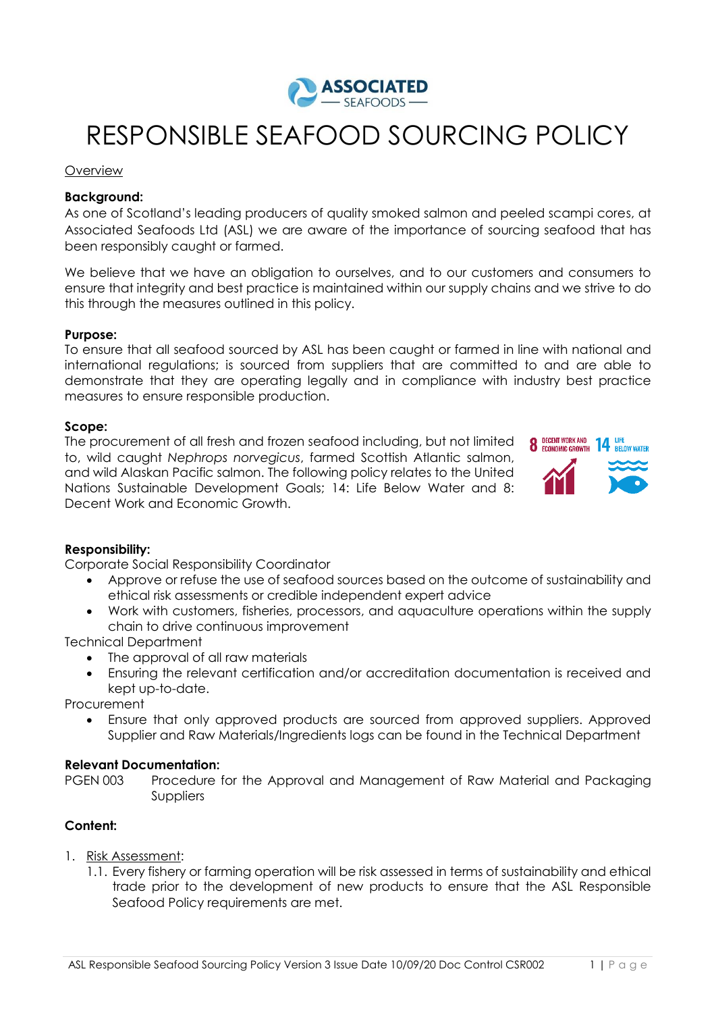

# RESPONSIBLE SEAFOOD SOURCING POLICY

#### Overview

## **Background:**

As one of Scotland's leading producers of quality smoked salmon and peeled scampi cores, at Associated Seafoods Ltd (ASL) we are aware of the importance of sourcing seafood that has been responsibly caught or farmed.

We believe that we have an obligation to ourselves, and to our customers and consumers to ensure that integrity and best practice is maintained within our supply chains and we strive to do this through the measures outlined in this policy.

## **Purpose:**

To ensure that all seafood sourced by ASL has been caught or farmed in line with national and international regulations; is sourced from suppliers that are committed to and are able to demonstrate that they are operating legally and in compliance with industry best practice measures to ensure responsible production.

## **Scope:**

The procurement of all fresh and frozen seafood including, but not limited to, wild caught *Nephrops norvegicus*, farmed Scottish Atlantic salmon, and wild Alaskan Pacific salmon. The following policy relates to the United Nations Sustainable Development Goals; 14: Life Below Water and 8: Decent Work and Economic Growth.



## **Responsibility:**

Corporate Social Responsibility Coordinator

- Approve or refuse the use of seafood sources based on the outcome of sustainability and ethical risk assessments or credible independent expert advice
- Work with customers, fisheries, processors, and aquaculture operations within the supply chain to drive continuous improvement

Technical Department

- The approval of all raw materials
- Ensuring the relevant certification and/or accreditation documentation is received and kept up-to-date.

**Procurement** 

 Ensure that only approved products are sourced from approved suppliers. Approved Supplier and Raw Materials/Ingredients logs can be found in the Technical Department

#### **Relevant Documentation:**

PGEN 003 Procedure for the Approval and Management of Raw Material and Packaging Suppliers

## **Content:**

- 1. Risk Assessment:
	- 1.1. Every fishery or farming operation will be risk assessed in terms of sustainability and ethical trade prior to the development of new products to ensure that the ASL Responsible Seafood Policy requirements are met.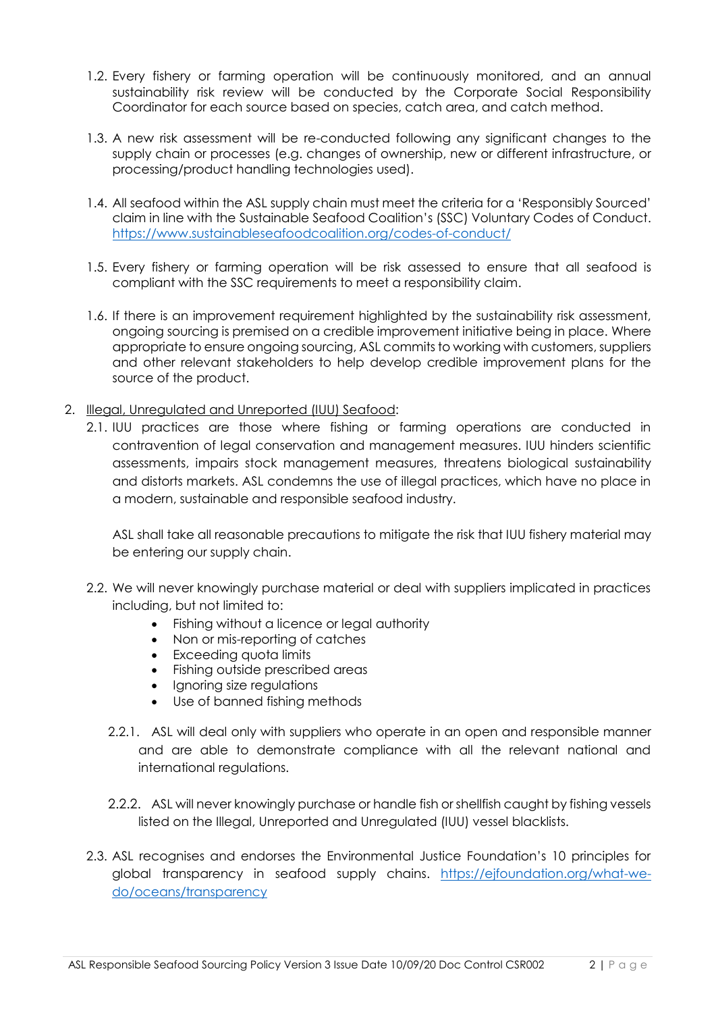- 1.2. Every fishery or farming operation will be continuously monitored, and an annual sustainability risk review will be conducted by the Corporate Social Responsibility Coordinator for each source based on species, catch area, and catch method.
- 1.3. A new risk assessment will be re-conducted following any significant changes to the supply chain or processes (e.g. changes of ownership, new or different infrastructure, or processing/product handling technologies used).
- 1.4. All seafood within the ASL supply chain must meet the criteria for a 'Responsibly Sourced' claim in line with the Sustainable Seafood Coalition's (SSC) Voluntary Codes of Conduct. <https://www.sustainableseafoodcoalition.org/codes-of-conduct/>
- 1.5. Every fishery or farming operation will be risk assessed to ensure that all seafood is compliant with the SSC requirements to meet a responsibility claim.
- 1.6. If there is an improvement requirement highlighted by the sustainability risk assessment, ongoing sourcing is premised on a credible improvement initiative being in place. Where appropriate to ensure ongoing sourcing, ASL commits to working with customers, suppliers and other relevant stakeholders to help develop credible improvement plans for the source of the product.
- 2. Illegal, Unregulated and Unreported (IUU) Seafood:
	- 2.1. IUU practices are those where fishing or farming operations are conducted in contravention of legal conservation and management measures. IUU hinders scientific assessments, impairs stock management measures, threatens biological sustainability and distorts markets. ASL condemns the use of illegal practices, which have no place in a modern, sustainable and responsible seafood industry.

ASL shall take all reasonable precautions to mitigate the risk that IUU fishery material may be entering our supply chain.

- 2.2. We will never knowingly purchase material or deal with suppliers implicated in practices including, but not limited to:
	- Fishing without a licence or legal authority
	- Non or mis-reporting of catches
	- Exceeding quota limits
	- Fishing outside prescribed areas
	- Ignoring size regulations
	- Use of banned fishing methods
	- 2.2.1. ASL will deal only with suppliers who operate in an open and responsible manner and are able to demonstrate compliance with all the relevant national and international regulations.
	- 2.2.2. ASL will never knowingly purchase or handle fish or shellfish caught by fishing vessels listed on the Illegal, Unreported and Unregulated (IUU) vessel blacklists.
- 2.3. ASL recognises and endorses the Environmental Justice Foundation's 10 principles for global transparency in seafood supply chains. [https://ejfoundation.org/what-we](https://ejfoundation.org/what-we-do/oceans/transparency)[do/oceans/transparency](https://ejfoundation.org/what-we-do/oceans/transparency)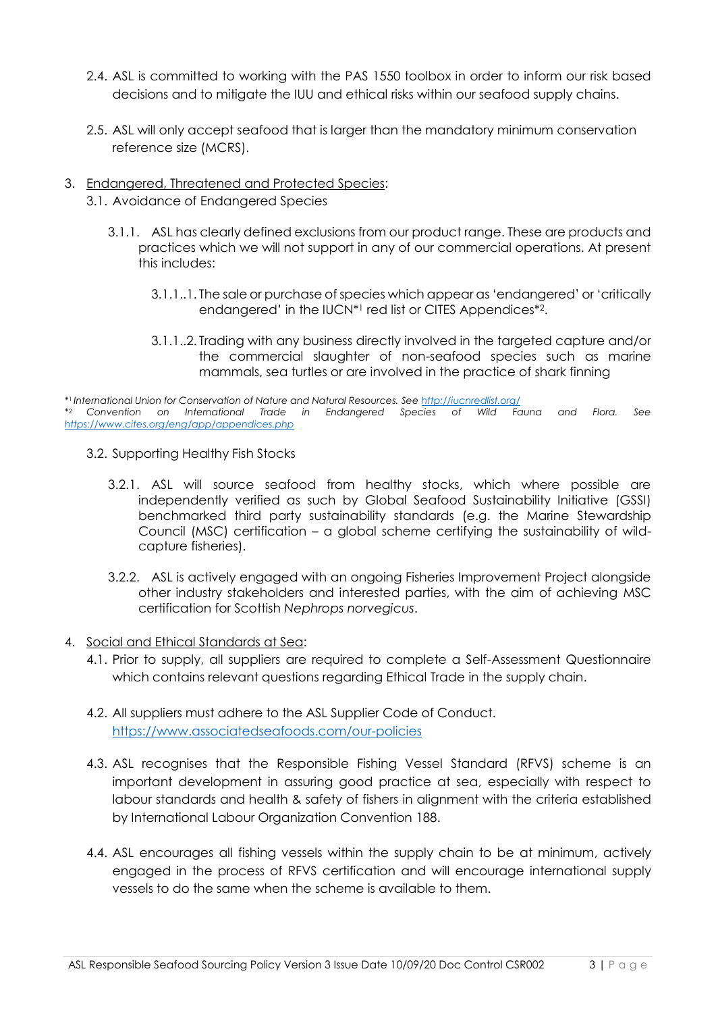- 2.4. ASL is committed to working with the PAS 1550 toolbox in order to inform our risk based decisions and to mitigate the IUU and ethical risks within our seafood supply chains.
- 2.5. ASL will only accept seafood that is larger than the mandatory minimum conservation reference size (MCRS).
- 3. Endangered, Threatened and Protected Species:
	- 3.1. Avoidance of Endangered Species
		- 3.1.1. ASL has clearly defined exclusions from our product range. These are products and practices which we will not support in any of our commercial operations. At present this includes:
			- 3.1.1..1. The sale or purchase of species which appear as 'endangered' or 'critically endangered' in the IUCN\*<sup>1</sup> red list or CITES Appendices\*2.
			- 3.1.1..2. Trading with any business directly involved in the targeted capture and/or the commercial slaughter of non-seafood species such as marine mammals, sea turtles or are involved in the practice of shark finning

\* <sup>1</sup>*International Union for Conservation of Nature and Natural Resources. Se[e http://iucnredlist.org/](http://iucnredlist.org/)* \* <sup>2</sup>*Convention on International Trade in Endangered Species of Wild Fauna and Flora. See <https://www.cites.org/eng/app/appendices.php>*

- 3.2. Supporting Healthy Fish Stocks
	- 3.2.1. ASL will source seafood from healthy stocks, which where possible are independently verified as such by Global Seafood Sustainability Initiative (GSSI) benchmarked third party sustainability standards (e.g. the Marine Stewardship Council (MSC) certification – a global scheme certifying the sustainability of wildcapture fisheries).
	- 3.2.2. ASL is actively engaged with an ongoing Fisheries Improvement Project alongside other industry stakeholders and interested parties, with the aim of achieving MSC certification for Scottish *Nephrops norvegicus*.
- 4. Social and Ethical Standards at Sea:
	- 4.1. Prior to supply, all suppliers are required to complete a Self-Assessment Questionnaire which contains relevant questions regarding Ethical Trade in the supply chain.
	- 4.2. All suppliers must adhere to the ASL Supplier Code of Conduct. <https://www.associatedseafoods.com/our-policies>
	- 4.3. ASL recognises that the Responsible Fishing Vessel Standard (RFVS) scheme is an important development in assuring good practice at sea, especially with respect to labour standards and health & safety of fishers in alignment with the criteria established by International Labour Organization Convention 188.
	- 4.4. ASL encourages all fishing vessels within the supply chain to be at minimum, actively engaged in the process of RFVS certification and will encourage international supply vessels to do the same when the scheme is available to them.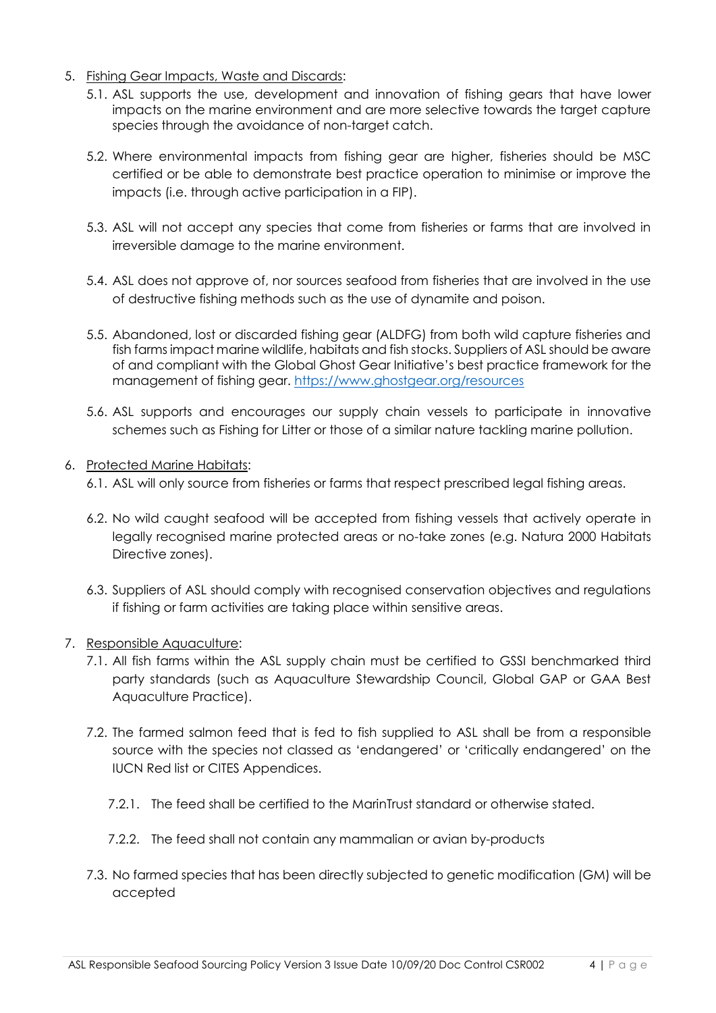- 5. Fishing Gear Impacts, Waste and Discards:
	- 5.1. ASL supports the use, development and innovation of fishing gears that have lower impacts on the marine environment and are more selective towards the target capture species through the avoidance of non-target catch.
	- 5.2. Where environmental impacts from fishing gear are higher, fisheries should be MSC certified or be able to demonstrate best practice operation to minimise or improve the impacts (i.e. through active participation in a FIP).
	- 5.3. ASL will not accept any species that come from fisheries or farms that are involved in irreversible damage to the marine environment.
	- 5.4. ASL does not approve of, nor sources seafood from fisheries that are involved in the use of destructive fishing methods such as the use of dynamite and poison.
	- 5.5. Abandoned, lost or discarded fishing gear (ALDFG) from both wild capture fisheries and fish farms impact marine wildlife, habitats and fish stocks. Suppliers of ASL should be aware of and compliant with the Global Ghost Gear Initiative's best practice framework for the management of fishing gear. <https://www.ghostgear.org/resources>
	- 5.6. ASL supports and encourages our supply chain vessels to participate in innovative schemes such as Fishing for Litter or those of a similar nature tackling marine pollution.
- 6. Protected Marine Habitats:
	- 6.1. ASL will only source from fisheries or farms that respect prescribed legal fishing areas.
	- 6.2. No wild caught seafood will be accepted from fishing vessels that actively operate in legally recognised marine protected areas or no-take zones (e.g. Natura 2000 Habitats Directive zones).
	- 6.3. Suppliers of ASL should comply with recognised conservation objectives and regulations if fishing or farm activities are taking place within sensitive areas.
- 7. Responsible Aquaculture:
	- 7.1. All fish farms within the ASL supply chain must be certified to GSSI benchmarked third party standards (such as Aquaculture Stewardship Council, Global GAP or GAA Best Aquaculture Practice).
	- 7.2. The farmed salmon feed that is fed to fish supplied to ASL shall be from a responsible source with the species not classed as 'endangered' or 'critically endangered' on the IUCN Red list or CITES Appendices.
		- 7.2.1. The feed shall be certified to the MarinTrust standard or otherwise stated.
		- 7.2.2. The feed shall not contain any mammalian or avian by-products
	- 7.3. No farmed species that has been directly subjected to genetic modification (GM) will be accepted